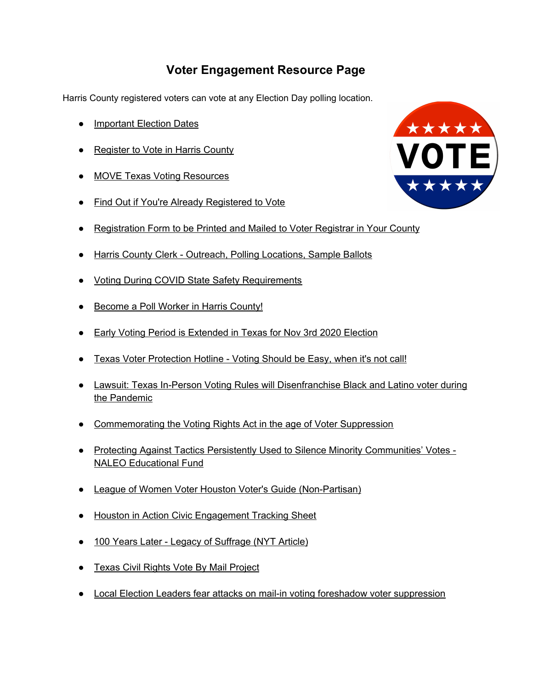## **Voter Engagement Resource Page**

Harris County registered voters can vote at any Election Day polling location.

- [Important](https://www.houstoninaction.org/elections/) Election Dates
- [Register](https://www.hctax.net/voter/registration) to Vote in Harris County
- MOVE Texas Voting [Resources](https://movetexas.org/)
- Find Out if You're Already [Registered](https://teamrv-mvp.sos.texas.gov/MVP/mvp.do) to Vote
- [Registration](https://webservices.sos.state.tx.us/vrapp/index.asp) Form to be Printed and Mailed to Voter Registrar in Your County
- Harris County Clerk Outreach, Polling [Locations,](https://harrisvotes.com/outreach?fbclid=IwAR0I7Viwm7GEtXeyeryXNuD1KdWD7O2G40siQ1o1JaKoKc5OJoFKpu6NowE) Sample Ballots
- Voting During COVID State Safety [Requirements](https://www.sos.state.tx.us/elections/laws/advisory2020-19.shtml)
- [Become](https://harrisvotes.com/ElectionWorkers?lang=en-US) a Poll Worker in Harris County!
- Early Voting Period is [Extended](https://www.texastribune.org/2020/07/27/texas-greg-abbott-early-voting-november/?fbclid=IwAR16lC35_z1YxTaFC2kWtqCJi1HPdznFTETX1nbybtuOsKoWyKlRjwr8m9k) in Texas for Nov 3rd 2020 Election
- Texas Voter [Protection](https://texasvoterprotection.org/) Hotline Voting Should be Easy, when it's not call!
- Lawsuit: Texas In-Person Voting Rules will [Disenfranchise](https://www.texastribune.org/2020/07/17/texas-voting-coronavirus-lawsuit/?fbclid=IwAR3T5_klzy-HWwt2M7SWs0vsVmE5N5GVZly88wj4Suc61KMUEENSJVGM-4c) Black and Latino voter during the [Pandemic](https://www.texastribune.org/2020/07/17/texas-voting-coronavirus-lawsuit/?fbclid=IwAR3T5_klzy-HWwt2M7SWs0vsVmE5N5GVZly88wj4Suc61KMUEENSJVGM-4c)
- [Commemorating](https://www.theguardian.com/commentisfree/2020/aug/06/voter-suppression-voting-rights-act?fbclid=IwAR3d-fWdO2XIHW8H_lNRtAXf1okfdokCCl4zLJmD3MSxS45_JxuWzG0qiJQ) the Voting Rights Act in the age of Voter Suppression
- Protecting Against Tactics Persistently Used to Silence Minority [Communities'](https://naleo.org/COMMS/2019/Reports/Practice_Based_Preclearance_Report_Nov2019.pdf) Votes -NALEO [Educational](https://naleo.org/COMMS/2019/Reports/Practice_Based_Preclearance_Report_Nov2019.pdf) Fund
- League of Women Voter Houston Voter's Guide [\(Non-Partisan\)](https://lwvhouston.org/voters-guide/)
- Houston in Action Civic [Engagement](https://docs.google.com/spreadsheets/d/1d6fHVEjEOxbQh4PYa2NYLlAzEglipGlUCsVWUJfooSQ/edit#gid=721972544) Tracking Sheet
- 100 Years Later Legacy of [Suffrage](https://www.nytimes.com/interactive/2020/08/07/us/suffragists-descendants.html?campaign_id=9&emc=edit_nn_20200807&instance_id=21067&nl=the-morning®i_id=89952271&segment_id=35507&te=1&user_id=c722d535c54f216d3033ec096c81ca41&fbclid=IwAR1WHTpVDGXHf6EP5xZnr4O00-n1VPnKeZPEDpmfuVX874pLw63zbHrLoRc) (NYT Article)
- Texas Civil Rights Vote By Mail [Project](http://txcivilrights.org/vote/)
- Local Election Leaders fear attacks on mail-in voting foreshadow voter [suppression](https://www.texastribune.org/2020/08/14/texas-mail-in-voting-postal-service/)